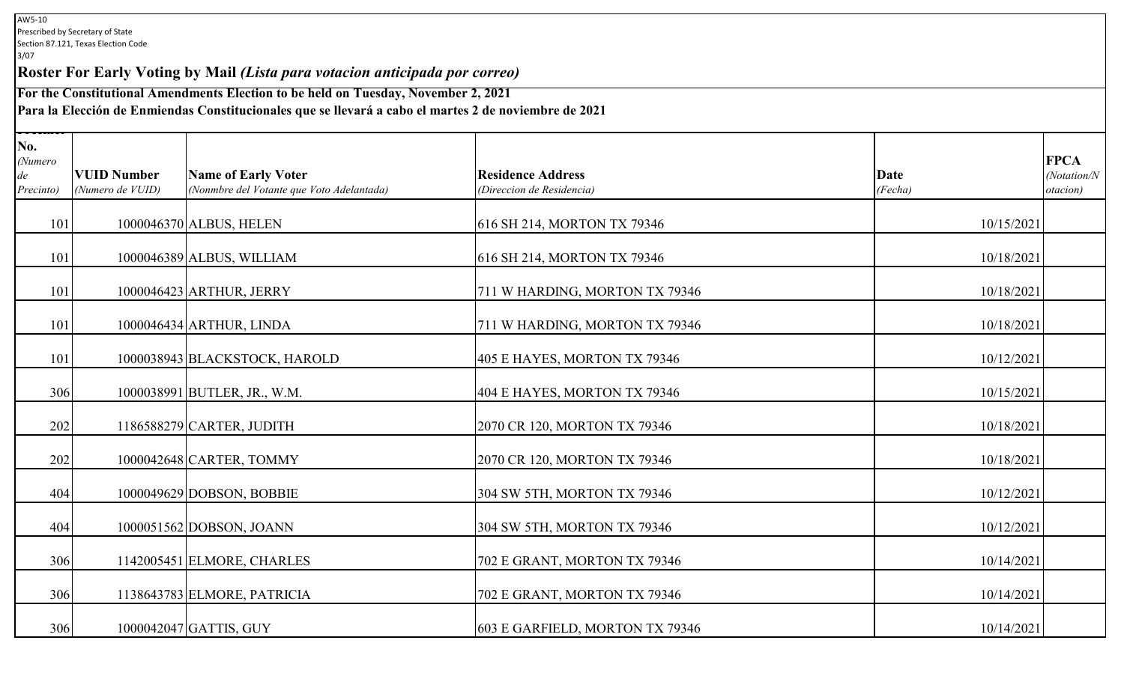**Roster For Early Voting by Mail** *(Lista para votacion anticipada por correo)*

**For the Constitutional Amendments Election to be held on Tuesday, November 2, 2021**

**Para la Elección de Enmiendas Constitucionales que se llevará a cabo el martes 2 de noviembre de 2021**

| No.<br>(Numero<br>de<br>Precinto) | <b>VUID Number</b><br>(Numero de VUID) | <b>Name of Early Voter</b><br>(Nonmbre del Votante que Voto Adelantada) | <b>Residence Address</b><br>(Direccion de Residencia) | Date<br>(Fecha) | <b>FPCA</b><br>(Notation/N<br>otacion) |  |  |
|-----------------------------------|----------------------------------------|-------------------------------------------------------------------------|-------------------------------------------------------|-----------------|----------------------------------------|--|--|
| 101                               |                                        | 1000046370 ALBUS, HELEN                                                 | 616 SH 214, MORTON TX 79346                           | 10/15/2021      |                                        |  |  |
| 101                               |                                        | 1000046389 ALBUS, WILLIAM                                               | 616 SH 214, MORTON TX 79346                           | 10/18/2021      |                                        |  |  |
| 101                               |                                        | 1000046423 ARTHUR, JERRY                                                | 711 W HARDING, MORTON TX 79346                        | 10/18/2021      |                                        |  |  |
| 101                               |                                        | 1000046434 ARTHUR, LINDA                                                | 711 W HARDING, MORTON TX 79346                        | 10/18/2021      |                                        |  |  |
| 101                               |                                        | 1000038943 BLACKSTOCK, HAROLD                                           | 405 E HAYES, MORTON TX 79346                          | 10/12/2021      |                                        |  |  |
| 306                               |                                        | 1000038991 BUTLER, JR., W.M.                                            | 404 E HAYES, MORTON TX 79346                          | 10/15/2021      |                                        |  |  |
| 202                               |                                        | 1186588279 CARTER, JUDITH                                               | 2070 CR 120, MORTON TX 79346                          | 10/18/2021      |                                        |  |  |
| 202                               |                                        | 1000042648 CARTER, TOMMY                                                | 2070 CR 120, MORTON TX 79346                          | 10/18/2021      |                                        |  |  |
| 404                               |                                        | 1000049629 DOBSON, BOBBIE                                               | 304 SW 5TH, MORTON TX 79346                           | 10/12/2021      |                                        |  |  |
| 404                               |                                        | 1000051562 DOBSON, JOANN                                                | 304 SW 5TH, MORTON TX 79346                           | 10/12/2021      |                                        |  |  |
| 306                               |                                        | 1142005451 ELMORE, CHARLES                                              | 702 E GRANT, MORTON TX 79346                          | 10/14/2021      |                                        |  |  |
| 306                               |                                        | 1138643783 ELMORE, PATRICIA                                             | 702 E GRANT, MORTON TX 79346                          | 10/14/2021      |                                        |  |  |
| 306                               |                                        | 1000042047 GATTIS, GUY                                                  | 603 E GARFIELD, MORTON TX 79346                       | 10/14/2021      |                                        |  |  |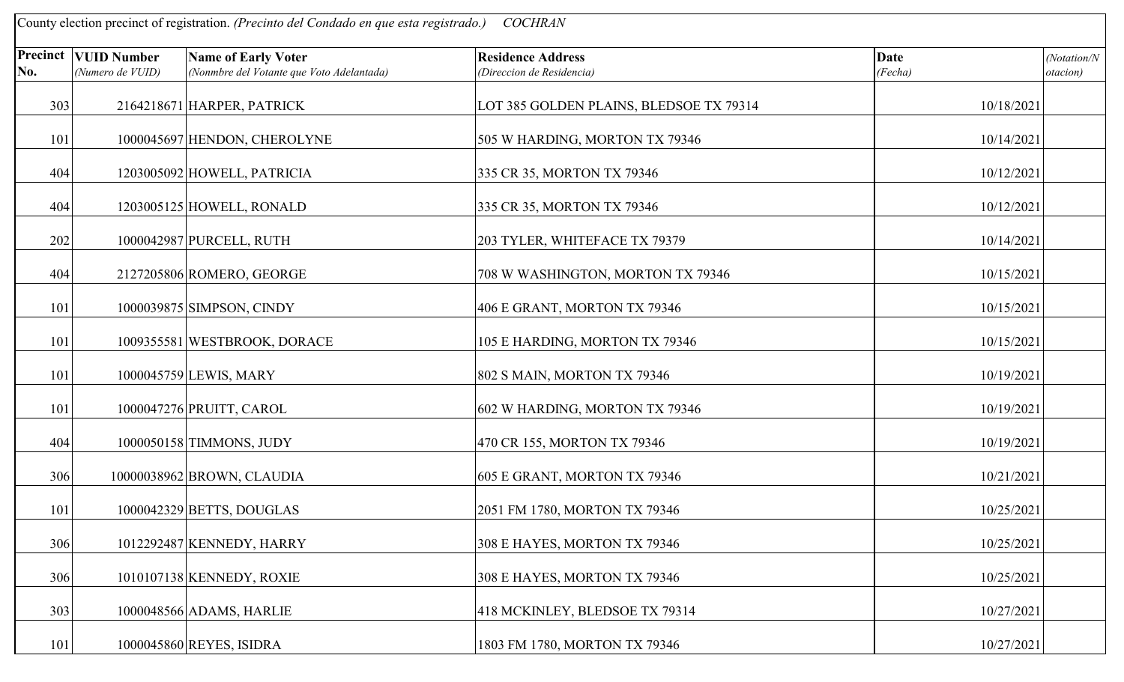| County election precinct of registration. (Precinto del Condado en que esta registrado.)<br><b>COCHRAN</b> |                                                   |                                                                         |                                                       |                        |                                 |  |
|------------------------------------------------------------------------------------------------------------|---------------------------------------------------|-------------------------------------------------------------------------|-------------------------------------------------------|------------------------|---------------------------------|--|
| No.                                                                                                        | <b>Precinct   VUID Number</b><br>(Numero de VUID) | <b>Name of Early Voter</b><br>(Nonmbre del Votante que Voto Adelantada) | <b>Residence Address</b><br>(Direccion de Residencia) | <b>Date</b><br>(Fecha) | (Notation/N<br><i>otacion</i> ) |  |
| 303                                                                                                        |                                                   | 2164218671 HARPER, PATRICK                                              | LOT 385 GOLDEN PLAINS, BLEDSOE TX 79314               | 10/18/2021             |                                 |  |
| 101                                                                                                        |                                                   | 1000045697 HENDON, CHEROLYNE                                            | 505 W HARDING, MORTON TX 79346                        | 10/14/2021             |                                 |  |
| 404                                                                                                        |                                                   | 1203005092 HOWELL, PATRICIA                                             | 335 CR 35, MORTON TX 79346                            | 10/12/2021             |                                 |  |
| 404                                                                                                        |                                                   | 1203005125 HOWELL, RONALD                                               | 335 CR 35, MORTON TX 79346                            | 10/12/2021             |                                 |  |
| 202                                                                                                        |                                                   | 1000042987 PURCELL, RUTH                                                | 203 TYLER, WHITEFACE TX 79379                         | 10/14/2021             |                                 |  |
| 404                                                                                                        |                                                   | 2127205806 ROMERO, GEORGE                                               | 708 W WASHINGTON, MORTON TX 79346                     | 10/15/2021             |                                 |  |
| 101                                                                                                        |                                                   | 1000039875 SIMPSON, CINDY                                               | 406 E GRANT, MORTON TX 79346                          | 10/15/2021             |                                 |  |
| 101                                                                                                        |                                                   | 1009355581 WESTBROOK, DORACE                                            | 105 E HARDING, MORTON TX 79346                        | 10/15/2021             |                                 |  |
| 101                                                                                                        |                                                   | 1000045759 LEWIS, MARY                                                  | 802 S MAIN, MORTON TX 79346                           | 10/19/2021             |                                 |  |
| 101                                                                                                        |                                                   | 1000047276 PRUITT, CAROL                                                | 602 W HARDING, MORTON TX 79346                        | 10/19/2021             |                                 |  |
| 404                                                                                                        |                                                   | 1000050158 TIMMONS, JUDY                                                | 470 CR 155, MORTON TX 79346                           | 10/19/2021             |                                 |  |
| 306                                                                                                        |                                                   | 10000038962 BROWN, CLAUDIA                                              | 605 E GRANT, MORTON TX 79346                          | 10/21/2021             |                                 |  |
| 101                                                                                                        |                                                   | 1000042329 BETTS, DOUGLAS                                               | 2051 FM 1780, MORTON TX 79346                         | 10/25/2021             |                                 |  |
| 306                                                                                                        |                                                   | 1012292487 KENNEDY, HARRY                                               | 308 E HAYES, MORTON TX 79346                          | 10/25/2021             |                                 |  |
| 306                                                                                                        |                                                   | 1010107138 KENNEDY, ROXIE                                               | 308 E HAYES, MORTON TX 79346                          | 10/25/2021             |                                 |  |
| 303                                                                                                        |                                                   | 1000048566 ADAMS, HARLIE                                                | 418 MCKINLEY, BLEDSOE TX 79314                        | 10/27/2021             |                                 |  |
| 101                                                                                                        |                                                   | 1000045860 REYES, ISIDRA                                                | 1803 FM 1780, MORTON TX 79346                         | 10/27/2021             |                                 |  |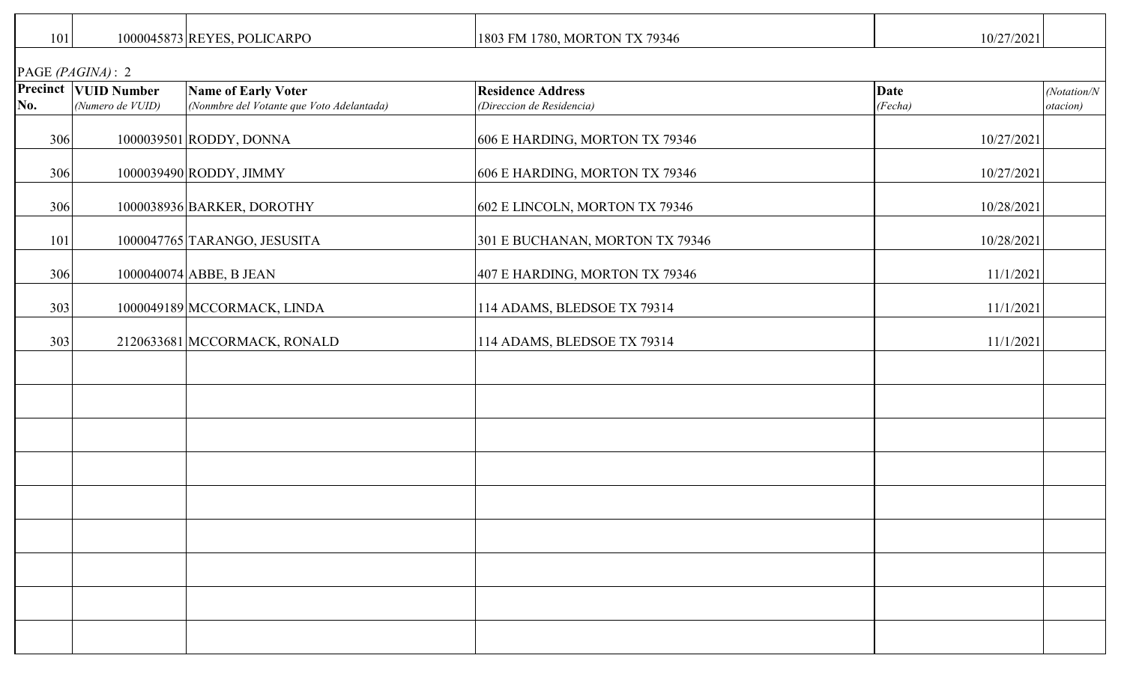| 101              |                                                 | 1000045873 REYES, POLICARPO                                             | 1803 FM 1780, MORTON TX 79346                         | 10/27/2021             |                          |
|------------------|-------------------------------------------------|-------------------------------------------------------------------------|-------------------------------------------------------|------------------------|--------------------------|
| PAGE (PAGINA): 2 |                                                 |                                                                         |                                                       |                        |                          |
| No.              | <b>Precinct VUID Number</b><br>(Numero de VUID) | <b>Name of Early Voter</b><br>(Nonmbre del Votante que Voto Adelantada) | <b>Residence Address</b><br>(Direccion de Residencia) | <b>Date</b><br>(Fecha) | (Notation/N)<br>otacion) |
| 306              |                                                 | 1000039501 RODDY, DONNA                                                 | 606 E HARDING, MORTON TX 79346                        | 10/27/2021             |                          |
| 306              |                                                 | 1000039490 RODDY, JIMMY                                                 | 606 E HARDING, MORTON TX 79346                        | 10/27/2021             |                          |
| 306              |                                                 | 1000038936 BARKER, DOROTHY                                              | 602 E LINCOLN, MORTON TX 79346                        | 10/28/2021             |                          |
| 101              |                                                 | 1000047765 TARANGO, JESUSITA                                            | 301 E BUCHANAN, MORTON TX 79346                       | 10/28/2021             |                          |
| 306              |                                                 | 1000040074 ABBE, B JEAN                                                 | 407 E HARDING, MORTON TX 79346                        | 11/1/2021              |                          |
| 303              |                                                 | 1000049189 MCCORMACK, LINDA                                             | 114 ADAMS, BLEDSOE TX 79314                           | 11/1/2021              |                          |
| 303              |                                                 | 2120633681 MCCORMACK, RONALD                                            | 114 ADAMS, BLEDSOE TX 79314                           | 11/1/2021              |                          |
|                  |                                                 |                                                                         |                                                       |                        |                          |
|                  |                                                 |                                                                         |                                                       |                        |                          |
|                  |                                                 |                                                                         |                                                       |                        |                          |
|                  |                                                 |                                                                         |                                                       |                        |                          |
|                  |                                                 |                                                                         |                                                       |                        |                          |
|                  |                                                 |                                                                         |                                                       |                        |                          |
|                  |                                                 |                                                                         |                                                       |                        |                          |
|                  |                                                 |                                                                         |                                                       |                        |                          |
|                  |                                                 |                                                                         |                                                       |                        |                          |